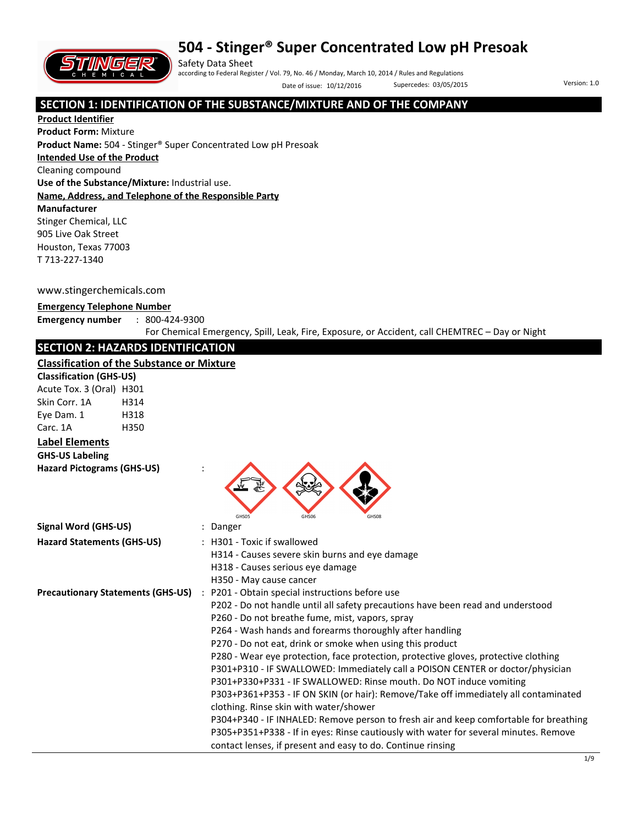

Safety Data Sheet according to Federal Register / Vol. 79, No. 46 / Monday, March 10, 2014 / Rules and Regulations Date of issue: 10/12/2016 Supercedes: 03/05/2015 Version: 1.0

## **SECTION 1: IDENTIFICATION OF THE SUBSTANCE/MIXTURE AND OF THE COMPANY**

**Product Identifier Product Form:** Mixture **Product Name:** 504 - Stinger® Super Concentrated Low pH Presoak **Intended Use of the Product** Cleaning compound **Use of the Substance/Mixture:** Industrial use. **Name, Address, and Telephone of the Responsible Party Manufacturer**  Stinger Chemical, LLC 905 Live Oak Street Houston, Texas 77003 T 713-227-1340

#### www.stingerchemicals.com

#### **Emergency Telephone Number**

**Emergency number** : 800-424-9300

For Chemical Emergency, Spill, Leak, Fire, Exposure, or Accident, call CHEMTREC – Day or Night

## **SECTION 2: HAZARDS IDENTIFICATION**

#### **Classification of the Substance or Mixture**

| <b>Classification of the Substance or Mixture</b> |      |                                                                                       |
|---------------------------------------------------|------|---------------------------------------------------------------------------------------|
| <b>Classification (GHS-US)</b>                    |      |                                                                                       |
| Acute Tox. 3 (Oral) H301                          |      |                                                                                       |
| Skin Corr. 1A                                     | H314 |                                                                                       |
| Eye Dam. 1                                        | H318 |                                                                                       |
| Carc. 1A                                          | H350 |                                                                                       |
| <b>Label Elements</b>                             |      |                                                                                       |
| <b>GHS-US Labeling</b>                            |      |                                                                                       |
| <b>Hazard Pictograms (GHS-US)</b>                 |      | <b>GHSO5</b><br>GHS06                                                                 |
| <b>Signal Word (GHS-US)</b>                       |      | : Danger                                                                              |
| <b>Hazard Statements (GHS-US)</b>                 |      | : H301 - Toxic if swallowed                                                           |
|                                                   |      | H314 - Causes severe skin burns and eye damage                                        |
|                                                   |      | H318 - Causes serious eye damage                                                      |
|                                                   |      | H350 - May cause cancer                                                               |
| <b>Precautionary Statements (GHS-US)</b>          |      | : P201 - Obtain special instructions before use                                       |
|                                                   |      | P202 - Do not handle until all safety precautions have been read and understood       |
|                                                   |      | P260 - Do not breathe fume, mist, vapors, spray                                       |
|                                                   |      | P264 - Wash hands and forearms thoroughly after handling                              |
|                                                   |      | P270 - Do not eat, drink or smoke when using this product                             |
|                                                   |      | P280 - Wear eye protection, face protection, protective gloves, protective clothing   |
|                                                   |      | P301+P310 - IF SWALLOWED: Immediately call a POISON CENTER or doctor/physician        |
|                                                   |      | P301+P330+P331 - IF SWALLOWED: Rinse mouth. Do NOT induce vomiting                    |
|                                                   |      | P303+P361+P353 - IF ON SKIN (or hair): Remove/Take off immediately all contaminated   |
|                                                   |      | clothing. Rinse skin with water/shower                                                |
|                                                   |      | P304+P340 - IF INHALED: Remove person to fresh air and keep comfortable for breathing |
|                                                   |      | P305+P351+P338 - If in eyes: Rinse cautiously with water for several minutes. Remove  |
|                                                   |      | contact lenses, if present and easy to do. Continue rinsing                           |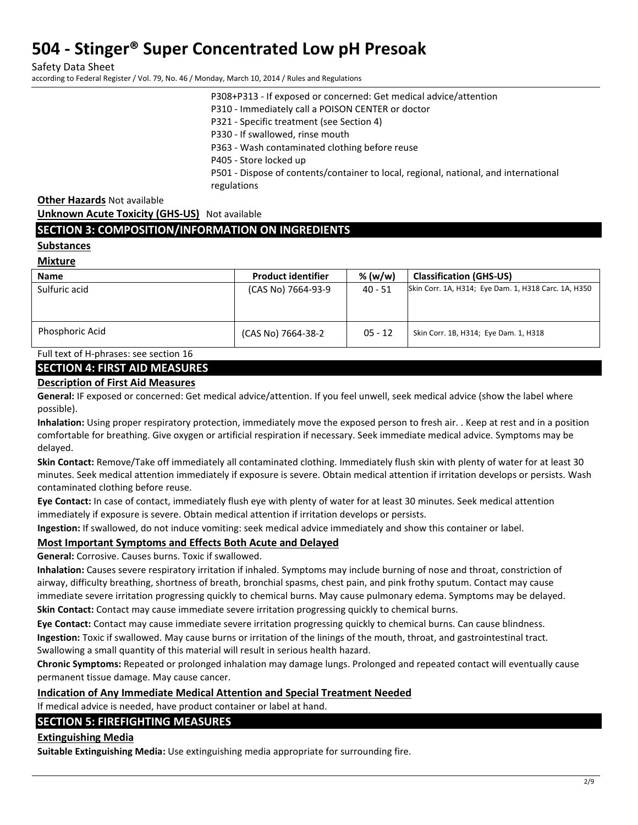Safety Data Sheet according to Federal Register / Vol. 79, No. 46 / Monday, March 10, 2014 / Rules and Regulations

P308+P313 - If exposed or concerned: Get medical advice/attention

P310 - Immediately call a POISON CENTER or doctor

P321 - Specific treatment (see Section 4)

P330 - If swallowed, rinse mouth

P363 - Wash contaminated clothing before reuse

P405 - Store locked up

P501 - Dispose of contents/container to local, regional, national, and international regulations

**Other Hazards** Not available

**Unknown Acute Toxicity (GHS-US)** Not available

## **SECTION 3: COMPOSITION/INFORMATION ON INGREDIENTS**

### **Substances**

**Mixture** 

| <b>Name</b>     | <b>Product identifier</b> | % (w/w)   | <b>Classification (GHS-US)</b>                       |
|-----------------|---------------------------|-----------|------------------------------------------------------|
| Sulfuric acid   | (CAS No) 7664-93-9        | 40 - 51   | Skin Corr. 1A, H314; Eye Dam. 1, H318 Carc. 1A, H350 |
|                 |                           |           |                                                      |
|                 |                           |           |                                                      |
| Phosphoric Acid | (CAS No) 7664-38-2        | $05 - 12$ | Skin Corr. 1B, H314; Eye Dam. 1, H318                |

Full text of H-phrases: see section 16

### **SECTION 4: FIRST AID MEASURES**

### **Description of First Aid Measures**

**General:** IF exposed or concerned: Get medical advice/attention. If you feel unwell, seek medical advice (show the label where possible).

**Inhalation:** Using proper respiratory protection, immediately move the exposed person to fresh air. . Keep at rest and in a position comfortable for breathing. Give oxygen or artificial respiration if necessary. Seek immediate medical advice. Symptoms may be delayed.

**Skin Contact:** Remove/Take off immediately all contaminated clothing. Immediately flush skin with plenty of water for at least 30 minutes. Seek medical attention immediately if exposure is severe. Obtain medical attention if irritation develops or persists. Wash contaminated clothing before reuse.

**Eye Contact:** In case of contact, immediately flush eye with plenty of water for at least 30 minutes. Seek medical attention immediately if exposure is severe. Obtain medical attention if irritation develops or persists.

**Ingestion:** If swallowed, do not induce vomiting: seek medical advice immediately and show this container or label.

## **Most Important Symptoms and Effects Both Acute and Delayed**

**General:** Corrosive. Causes burns. Toxic if swallowed.

**Inhalation:** Causes severe respiratory irritation if inhaled. Symptoms may include burning of nose and throat, constriction of airway, difficulty breathing, shortness of breath, bronchial spasms, chest pain, and pink frothy sputum. Contact may cause immediate severe irritation progressing quickly to chemical burns. May cause pulmonary edema. Symptoms may be delayed.

**Skin Contact:** Contact may cause immediate severe irritation progressing quickly to chemical burns.

**Eye Contact:** Contact may cause immediate severe irritation progressing quickly to chemical burns. Can cause blindness. **Ingestion:** Toxic if swallowed. May cause burns or irritation of the linings of the mouth, throat, and gastrointestinal tract. Swallowing a small quantity of this material will result in serious health hazard.

**Chronic Symptoms:** Repeated or prolonged inhalation may damage lungs. Prolonged and repeated contact will eventually cause permanent tissue damage. May cause cancer.

## **Indication of Any Immediate Medical Attention and Special Treatment Needed**

If medical advice is needed, have product container or label at hand.

## **SECTION 5: FIREFIGHTING MEASURES**

## **Extinguishing Media**

**Suitable Extinguishing Media:** Use extinguishing media appropriate for surrounding fire.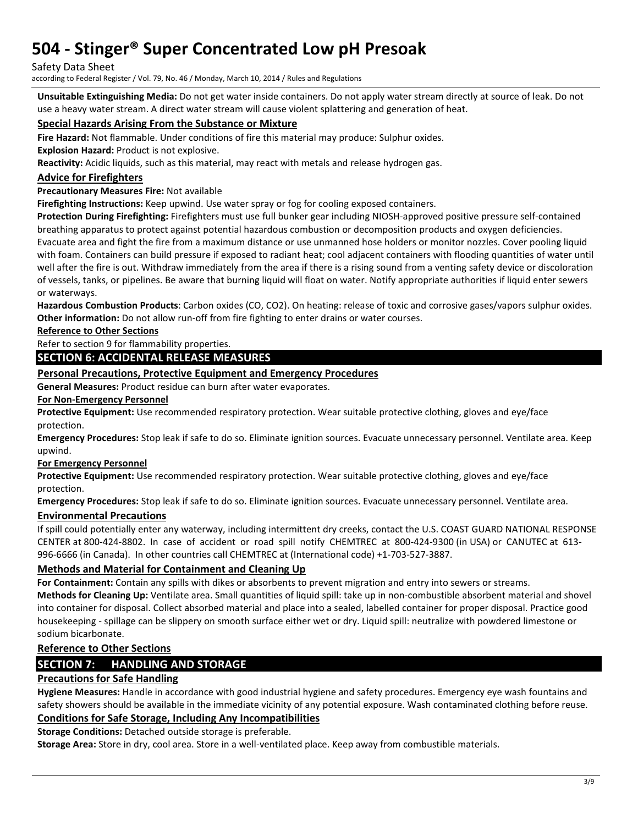#### Safety Data Sheet

according to Federal Register / Vol. 79, No. 46 / Monday, March 10, 2014 / Rules and Regulations

**Unsuitable Extinguishing Media:** Do not get water inside containers. Do not apply water stream directly at source of leak. Do not use a heavy water stream. A direct water stream will cause violent splattering and generation of heat.

### **Special Hazards Arising From the Substance or Mixture**

**Fire Hazard:** Not flammable. Under conditions of fire this material may produce: Sulphur oxides.

**Explosion Hazard:** Product is not explosive.

**Reactivity:** Acidic liquids, such as this material, may react with metals and release hydrogen gas.

### **Advice for Firefighters**

### **Precautionary Measures Fire:** Not available

**Firefighting Instructions:** Keep upwind. Use water spray or fog for cooling exposed containers.

**Protection During Firefighting:** Firefighters must use full bunker gear including NIOSH-approved positive pressure self-contained breathing apparatus to protect against potential hazardous combustion or decomposition products and oxygen deficiencies.

Evacuate area and fight the fire from a maximum distance or use unmanned hose holders or monitor nozzles. Cover pooling liquid with foam. Containers can build pressure if exposed to radiant heat; cool adjacent containers with flooding quantities of water until well after the fire is out. Withdraw immediately from the area if there is a rising sound from a venting safety device or discoloration of vessels, tanks, or pipelines. Be aware that burning liquid will float on water. Notify appropriate authorities if liquid enter sewers or waterways.

**Hazardous Combustion Products**: Carbon oxides (CO, CO2). On heating: release of toxic and corrosive gases/vapors sulphur oxides. **Other information:** Do not allow run-off from fire fighting to enter drains or water courses.

**Reference to Other Sections** 

Refer to section 9 for flammability properties.

### **SECTION 6: ACCIDENTAL RELEASE MEASURES**

### **Personal Precautions, Protective Equipment and Emergency Procedures**

**General Measures:** Product residue can burn after water evaporates.

#### **For Non-Emergency Personnel**

**Protective Equipment:** Use recommended respiratory protection. Wear suitable protective clothing, gloves and eye/face protection.

**Emergency Procedures:** Stop leak if safe to do so. Eliminate ignition sources. Evacuate unnecessary personnel. Ventilate area. Keep upwind.

### **For Emergency Personnel**

**Protective Equipment:** Use recommended respiratory protection. Wear suitable protective clothing, gloves and eye/face protection.

**Emergency Procedures:** Stop leak if safe to do so. Eliminate ignition sources. Evacuate unnecessary personnel. Ventilate area.

### **Environmental Precautions**

If spill could potentially enter any waterway, including intermittent dry creeks, contact the U.S. COAST GUARD NATIONAL RESPONSE CENTER at 800-424-8802. In case of accident or road spill notify CHEMTREC at 800-424-9300 (in USA) or CANUTEC at 613- 996-6666 (in Canada). In other countries call CHEMTREC at (International code) +1-703-527-3887.

### **Methods and Material for Containment and Cleaning Up**

**For Containment:** Contain any spills with dikes or absorbents to prevent migration and entry into sewers or streams. **Methods for Cleaning Up:** Ventilate area. Small quantities of liquid spill: take up in non-combustible absorbent material and shovel into container for disposal. Collect absorbed material and place into a sealed, labelled container for proper disposal. Practice good housekeeping - spillage can be slippery on smooth surface either wet or dry. Liquid spill: neutralize with powdered limestone or sodium bicarbonate.

## **Reference to Other Sections**

## **SECTION 7: HANDLING AND STORAGE**

### **Precautions for Safe Handling**

**Hygiene Measures:** Handle in accordance with good industrial hygiene and safety procedures. Emergency eye wash fountains and safety showers should be available in the immediate vicinity of any potential exposure. Wash contaminated clothing before reuse.

## **Conditions for Safe Storage, Including Any Incompatibilities**

**Storage Conditions:** Detached outside storage is preferable.

**Storage Area:** Store in dry, cool area. Store in a well-ventilated place. Keep away from combustible materials.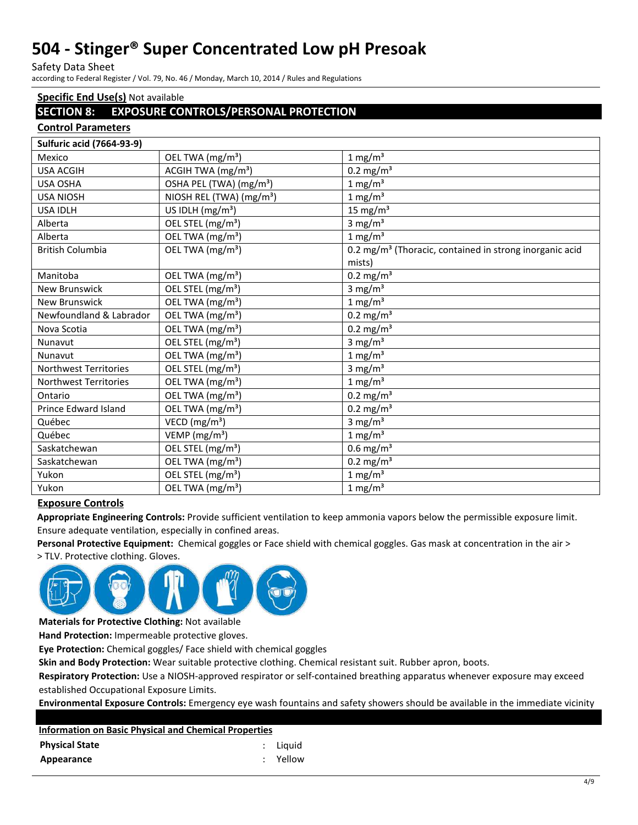Safety Data Sheet

according to Federal Register / Vol. 79, No. 46 / Monday, March 10, 2014 / Rules and Regulations

## **Specific End Use(s)** Not available

## **SECTION 8: EXPOSURE CONTROLS/PERSONAL PROTECTION**

### **Control Parameters**

| <b>Sulfuric acid (7664-93-9)</b> |                                      |                                                                     |
|----------------------------------|--------------------------------------|---------------------------------------------------------------------|
| Mexico                           | OEL TWA (mg/m <sup>3</sup> )         | $1 \text{ mg/m}^3$                                                  |
| <b>USA ACGIH</b>                 | ACGIH TWA (mg/m <sup>3</sup> )       | $0.2 \text{ mg/m}^3$                                                |
| <b>USA OSHA</b>                  | OSHA PEL (TWA) (mg/m <sup>3</sup> )  | $1 \text{ mg/m}^3$                                                  |
| <b>USA NIOSH</b>                 | NIOSH REL (TWA) (mg/m <sup>3</sup> ) | $1 \text{ mg/m}^3$                                                  |
| <b>USA IDLH</b>                  | US IDLH $(mg/m3)$                    | 15 mg/ $m3$                                                         |
| Alberta                          | OEL STEL (mg/m <sup>3</sup> )        | 3 mg/ $m3$                                                          |
| Alberta                          | OEL TWA (mg/m <sup>3</sup> )         | $1 \text{ mg/m}^3$                                                  |
| <b>British Columbia</b>          | OEL TWA (mg/m <sup>3</sup> )         | 0.2 mg/m <sup>3</sup> (Thoracic, contained in strong inorganic acid |
|                                  |                                      | mists)                                                              |
| Manitoba                         | OEL TWA (mg/m <sup>3</sup> )         | $0.2 \text{ mg/m}^3$                                                |
| <b>New Brunswick</b>             | OEL STEL (mg/m <sup>3</sup> )        | 3 mg/ $m3$                                                          |
| <b>New Brunswick</b>             | OEL TWA (mg/m <sup>3</sup> )         | $1 \text{ mg/m}^3$                                                  |
| Newfoundland & Labrador          | OEL TWA (mg/m <sup>3</sup> )         | $0.2 \text{ mg/m}^3$                                                |
| Nova Scotia                      | OEL TWA (mg/m <sup>3</sup> )         | $0.2 \text{ mg/m}^3$                                                |
| Nunavut                          | OEL STEL (mg/m <sup>3</sup> )        | 3 mg/ $m3$                                                          |
| Nunavut                          | OEL TWA (mg/m <sup>3</sup> )         | $1 \text{ mg/m}^3$                                                  |
| <b>Northwest Territories</b>     | OEL STEL (mg/m <sup>3</sup> )        | 3 mg/ $m3$                                                          |
| <b>Northwest Territories</b>     | OEL TWA (mg/m <sup>3</sup> )         | $1 \text{ mg/m}^3$                                                  |
| Ontario                          | OEL TWA (mg/m <sup>3</sup> )         | $0.2 \text{ mg/m}^3$                                                |
| Prince Edward Island             | OEL TWA (mg/m <sup>3</sup> )         | $0.2 \text{ mg/m}^3$                                                |
| Québec                           | VECD (mg/m <sup>3</sup> )            | 3 mg/ $m3$                                                          |
| Québec                           | VEMP ( $mg/m3$ )                     | $1 \text{ mg/m}^3$                                                  |
| Saskatchewan                     | OEL STEL (mg/m <sup>3</sup> )        | $0.6$ mg/m <sup>3</sup>                                             |
| Saskatchewan                     | OEL TWA (mg/m <sup>3</sup> )         | $0.2 \text{ mg/m}^3$                                                |
| Yukon                            | OEL STEL (mg/m <sup>3</sup> )        | $1 \text{ mg/m}^3$                                                  |
| Yukon                            | OEL TWA (mg/m <sup>3</sup> )         | $1 \text{ mg/m}^3$                                                  |

### **Exposure Controls**

**Appropriate Engineering Controls:** Provide sufficient ventilation to keep ammonia vapors below the permissible exposure limit. Ensure adequate ventilation, especially in confined areas.

**Personal Protective Equipment:** Chemical goggles or Face shield with chemical goggles. Gas mask at concentration in the air >

> TLV. Protective clothing. Gloves.



**Materials for Protective Clothing:** Not available

**Hand Protection:** Impermeable protective gloves.

**Eye Protection:** Chemical goggles/ Face shield with chemical goggles

**Skin and Body Protection:** Wear suitable protective clothing. Chemical resistant suit. Rubber apron, boots.

**Respiratory Protection:** Use a NIOSH-approved respirator or self-contained breathing apparatus whenever exposure may exceed established Occupational Exposure Limits.

**Environmental Exposure Controls:** Emergency eye wash fountains and safety showers should be available in the immediate vicinity

| <b>Information on Basic Physical and Chemical Properties</b> |  |          |  |
|--------------------------------------------------------------|--|----------|--|
| <b>Physical State</b>                                        |  | : Liquid |  |
| Appearance                                                   |  | : Yellow |  |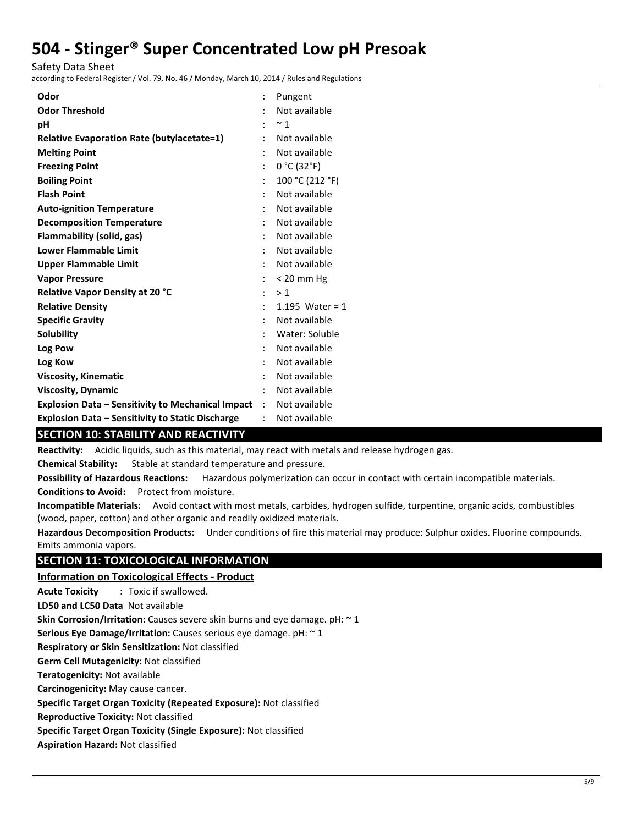Safety Data Sheet

according to Federal Register / Vol. 79, No. 46 / Monday, March 10, 2014 / Rules and Regulations

| Odor                                                     |                      | Pungent           |
|----------------------------------------------------------|----------------------|-------------------|
| <b>Odor Threshold</b>                                    |                      | Not available     |
| pH                                                       |                      | $~^{\sim}$ 1      |
| <b>Relative Evaporation Rate (butylacetate=1)</b>        |                      | Not available     |
| <b>Melting Point</b>                                     |                      | Not available     |
| <b>Freezing Point</b>                                    |                      | 0 °C (32 °F)      |
| <b>Boiling Point</b>                                     |                      | 100 °C (212 °F)   |
| <b>Flash Point</b>                                       |                      | Not available     |
| <b>Auto-ignition Temperature</b>                         |                      | Not available     |
| <b>Decomposition Temperature</b>                         |                      | Not available     |
| <b>Flammability (solid, gas)</b>                         |                      | Not available     |
| <b>Lower Flammable Limit</b>                             | ÷                    | Not available     |
| <b>Upper Flammable Limit</b>                             |                      | Not available     |
| <b>Vapor Pressure</b>                                    |                      | $< 20$ mm Hg      |
| Relative Vapor Density at 20 °C                          | $\ddot{\phantom{0}}$ | >1                |
| <b>Relative Density</b>                                  | ٠                    | 1.195 Water = $1$ |
| <b>Specific Gravity</b>                                  |                      | Not available     |
| Solubility                                               |                      | Water: Soluble    |
| Log Pow                                                  |                      | Not available     |
| Log Kow                                                  |                      | Not available     |
| <b>Viscosity, Kinematic</b>                              |                      | Not available     |
| <b>Viscosity, Dynamic</b>                                |                      | Not available     |
| <b>Explosion Data - Sensitivity to Mechanical Impact</b> | $\ddot{\phantom{a}}$ | Not available     |
| <b>Explosion Data – Sensitivity to Static Discharge</b>  |                      | Not available     |

## **SECTION 10: STABILITY AND REACTIVITY**

**Reactivity:** Acidic liquids, such as this material, may react with metals and release hydrogen gas.

**Chemical Stability:** Stable at standard temperature and pressure.

**Possibility of Hazardous Reactions:** Hazardous polymerization can occur in contact with certain incompatible materials.

**Conditions to Avoid:** Protect from moisture.

**Incompatible Materials:** Avoid contact with most metals, carbides, hydrogen sulfide, turpentine, organic acids, combustibles (wood, paper, cotton) and other organic and readily oxidized materials.

**Hazardous Decomposition Products:** Under conditions of fire this material may produce: Sulphur oxides. Fluorine compounds. Emits ammonia vapors.

## **SECTION 11: TOXICOLOGICAL INFORMATION**

## **Information on Toxicological Effects - Product**

**Acute Toxicity** : Toxic if swallowed.

**LD50 and LC50 Data** Not available

**Skin Corrosion/Irritation:** Causes severe skin burns and eye damage. pH: ~ 1

**Serious Eye Damage/Irritation:** Causes serious eye damage. pH: ~ 1

**Respiratory or Skin Sensitization:** Not classified

**Germ Cell Mutagenicity:** Not classified

**Teratogenicity:** Not available

**Carcinogenicity:** May cause cancer.

**Specific Target Organ Toxicity (Repeated Exposure):** Not classified

**Reproductive Toxicity:** Not classified

**Specific Target Organ Toxicity (Single Exposure):** Not classified

**Aspiration Hazard:** Not classified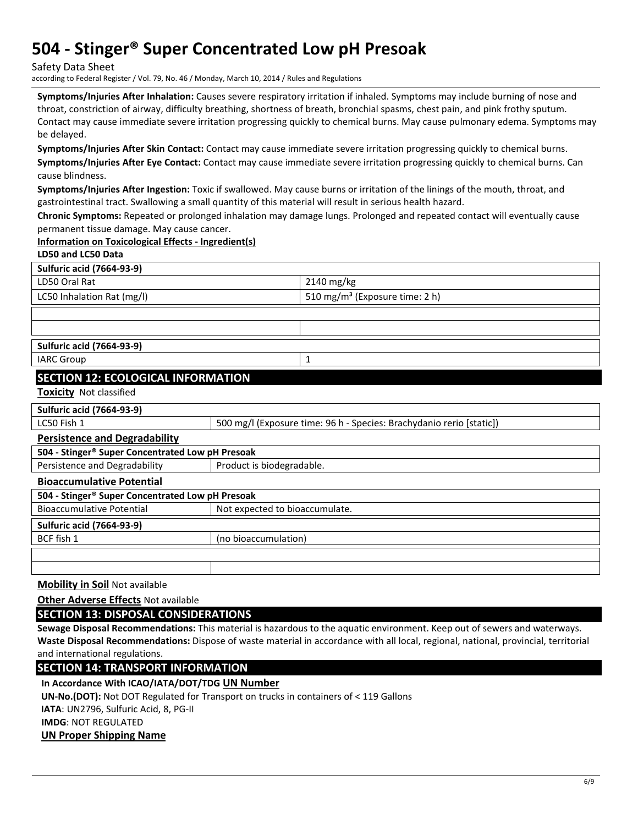Safety Data Sheet

according to Federal Register / Vol. 79, No. 46 / Monday, March 10, 2014 / Rules and Regulations

**Symptoms/Injuries After Inhalation:** Causes severe respiratory irritation if inhaled. Symptoms may include burning of nose and throat, constriction of airway, difficulty breathing, shortness of breath, bronchial spasms, chest pain, and pink frothy sputum. Contact may cause immediate severe irritation progressing quickly to chemical burns. May cause pulmonary edema. Symptoms may be delayed.

**Symptoms/Injuries After Skin Contact:** Contact may cause immediate severe irritation progressing quickly to chemical burns. **Symptoms/Injuries After Eye Contact:** Contact may cause immediate severe irritation progressing quickly to chemical burns. Can cause blindness.

**Symptoms/Injuries After Ingestion:** Toxic if swallowed. May cause burns or irritation of the linings of the mouth, throat, and gastrointestinal tract. Swallowing a small quantity of this material will result in serious health hazard.

**Chronic Symptoms:** Repeated or prolonged inhalation may damage lungs. Prolonged and repeated contact will eventually cause permanent tissue damage. May cause cancer.

### **Information on Toxicological Effects - Ingredient(s)**

| LD50 and LC50 Data                        |                                            |
|-------------------------------------------|--------------------------------------------|
| <b>Sulfuric acid (7664-93-9)</b>          |                                            |
| LD50 Oral Rat                             | $2140$ mg/kg                               |
| LC50 Inhalation Rat (mg/l)                | 510 mg/m <sup>3</sup> (Exposure time: 2 h) |
|                                           |                                            |
|                                           |                                            |
| <b>Sulfuric acid (7664-93-9)</b>          |                                            |
| <b>IARC Group</b>                         |                                            |
| <b>SECTION 12: ECOLOGICAL INFORMATION</b> |                                            |

**Toxicity** Not classified

#### **Sulfuric acid (7664-93-9)**

#### **Persistence and Degradability**

| 504 - Stinger® Super Concentrated Low pH Presoak |                                |  |  |
|--------------------------------------------------|--------------------------------|--|--|
| Persistence and Degradability                    | Product is biodegradable.      |  |  |
| <b>Bioaccumulative Potential</b>                 |                                |  |  |
| 504 - Stinger® Super Concentrated Low pH Presoak |                                |  |  |
| <b>Bioaccumulative Potential</b>                 | Not expected to bioaccumulate. |  |  |
| <b>Sulfuric acid (7664-93-9)</b>                 |                                |  |  |
| BCF fish 1                                       | (no bioaccumulation)           |  |  |
|                                                  |                                |  |  |
|                                                  |                                |  |  |

**Mobility in Soil** Not available

**Other Adverse Effects** Not available

**SECTION 13: DISPOSAL CONSIDERATIONS** 

**Sewage Disposal Recommendations:** This material is hazardous to the aquatic environment. Keep out of sewers and waterways. **Waste Disposal Recommendations:** Dispose of waste material in accordance with all local, regional, national, provincial, territorial and international regulations.

**SECTION 14: TRANSPORT INFORMATION** 

**In Accordance With ICAO/IATA/DOT/TDG UN Number**

**UN-No.(DOT):** Not DOT Regulated for Transport on trucks in containers of < 119 Gallons

**IATA**: UN2796, Sulfuric Acid, 8, PG-II

**IMDG**: NOT REGULATED

**UN Proper Shipping Name**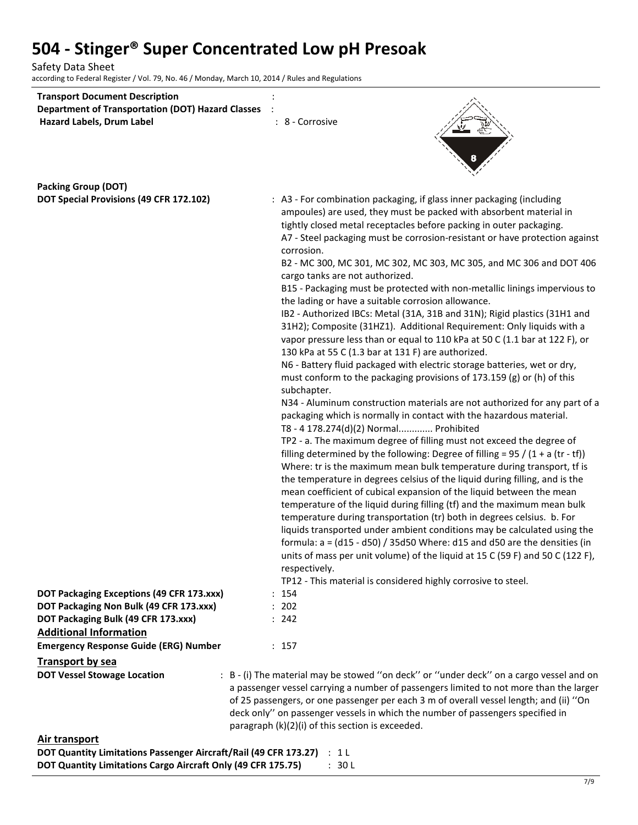Safety Data Sheet according to Federal Register / Vol. 79, No. 46 / Monday, March 10, 2014 / Rules and Regulations

| <b>Transport Document Description</b>                                          |                                                                                                                                                                                   |
|--------------------------------------------------------------------------------|-----------------------------------------------------------------------------------------------------------------------------------------------------------------------------------|
| <b>Department of Transportation (DOT) Hazard Classes</b>                       |                                                                                                                                                                                   |
| Hazard Labels, Drum Label                                                      | : 8 - Corrosive                                                                                                                                                                   |
|                                                                                |                                                                                                                                                                                   |
|                                                                                |                                                                                                                                                                                   |
|                                                                                |                                                                                                                                                                                   |
| <b>Packing Group (DOT)</b>                                                     |                                                                                                                                                                                   |
| DOT Special Provisions (49 CFR 172.102)                                        | : A3 - For combination packaging, if glass inner packaging (including                                                                                                             |
|                                                                                | ampoules) are used, they must be packed with absorbent material in                                                                                                                |
|                                                                                | tightly closed metal receptacles before packing in outer packaging.                                                                                                               |
|                                                                                | A7 - Steel packaging must be corrosion-resistant or have protection against                                                                                                       |
|                                                                                | corrosion.                                                                                                                                                                        |
|                                                                                | B2 - MC 300, MC 301, MC 302, MC 303, MC 305, and MC 306 and DOT 406                                                                                                               |
|                                                                                | cargo tanks are not authorized.                                                                                                                                                   |
|                                                                                | B15 - Packaging must be protected with non-metallic linings impervious to                                                                                                         |
|                                                                                | the lading or have a suitable corrosion allowance.                                                                                                                                |
|                                                                                | IB2 - Authorized IBCs: Metal (31A, 31B and 31N); Rigid plastics (31H1 and                                                                                                         |
|                                                                                | 31H2); Composite (31HZ1). Additional Requirement: Only liquids with a                                                                                                             |
|                                                                                | vapor pressure less than or equal to 110 kPa at 50 C (1.1 bar at 122 F), or                                                                                                       |
|                                                                                | 130 kPa at 55 C (1.3 bar at 131 F) are authorized.                                                                                                                                |
|                                                                                | N6 - Battery fluid packaged with electric storage batteries, wet or dry,                                                                                                          |
|                                                                                | must conform to the packaging provisions of 173.159 (g) or (h) of this                                                                                                            |
|                                                                                | subchapter.<br>N34 - Aluminum construction materials are not authorized for any part of a                                                                                         |
|                                                                                | packaging which is normally in contact with the hazardous material.                                                                                                               |
|                                                                                | T8 - 4 178.274(d)(2) Normal Prohibited                                                                                                                                            |
|                                                                                | TP2 - a. The maximum degree of filling must not exceed the degree of                                                                                                              |
|                                                                                | filling determined by the following: Degree of filling = $95 / (1 + a (tr - tf))$                                                                                                 |
|                                                                                | Where: tr is the maximum mean bulk temperature during transport, tf is                                                                                                            |
|                                                                                | the temperature in degrees celsius of the liquid during filling, and is the                                                                                                       |
|                                                                                | mean coefficient of cubical expansion of the liquid between the mean                                                                                                              |
|                                                                                | temperature of the liquid during filling (tf) and the maximum mean bulk                                                                                                           |
|                                                                                | temperature during transportation (tr) both in degrees celsius. b. For                                                                                                            |
|                                                                                | liquids transported under ambient conditions may be calculated using the                                                                                                          |
|                                                                                | formula: $a = (d15 - d50) / 35d50$ Where: d15 and d50 are the densities (in                                                                                                       |
|                                                                                | units of mass per unit volume) of the liquid at 15 C (59 F) and 50 C (122 F),                                                                                                     |
|                                                                                | respectively.                                                                                                                                                                     |
|                                                                                | TP12 - This material is considered highly corrosive to steel.                                                                                                                     |
| DOT Packaging Exceptions (49 CFR 173.xxx)                                      | : 154                                                                                                                                                                             |
| DOT Packaging Non Bulk (49 CFR 173.xxx)<br>DOT Packaging Bulk (49 CFR 173.xxx) | : 202<br>: 242                                                                                                                                                                    |
| <b>Additional Information</b>                                                  |                                                                                                                                                                                   |
| <b>Emergency Response Guide (ERG) Number</b>                                   | : 157                                                                                                                                                                             |
|                                                                                |                                                                                                                                                                                   |
| <b>Transport by sea</b>                                                        |                                                                                                                                                                                   |
| <b>DOT Vessel Stowage Location</b>                                             | : B - (i) The material may be stowed "on deck" or "under deck" on a cargo vessel and on<br>a passenger vessel carrying a number of passengers limited to not more than the larger |
|                                                                                | of 25 passengers, or one passenger per each 3 m of overall vessel length; and (ii) "On                                                                                            |
|                                                                                | deck only" on passenger vessels in which the number of passengers specified in                                                                                                    |
|                                                                                | paragraph (k)(2)(i) of this section is exceeded.                                                                                                                                  |
| Air trancnort                                                                  |                                                                                                                                                                                   |

| AII U GIISPUIL                                                         |        |
|------------------------------------------------------------------------|--------|
| DOT Quantity Limitations Passenger Aircraft/Rail (49 CFR 173.27) : 1 L |        |
| DOT Quantity Limitations Cargo Aircraft Only (49 CFR 175.75)           | : 30 L |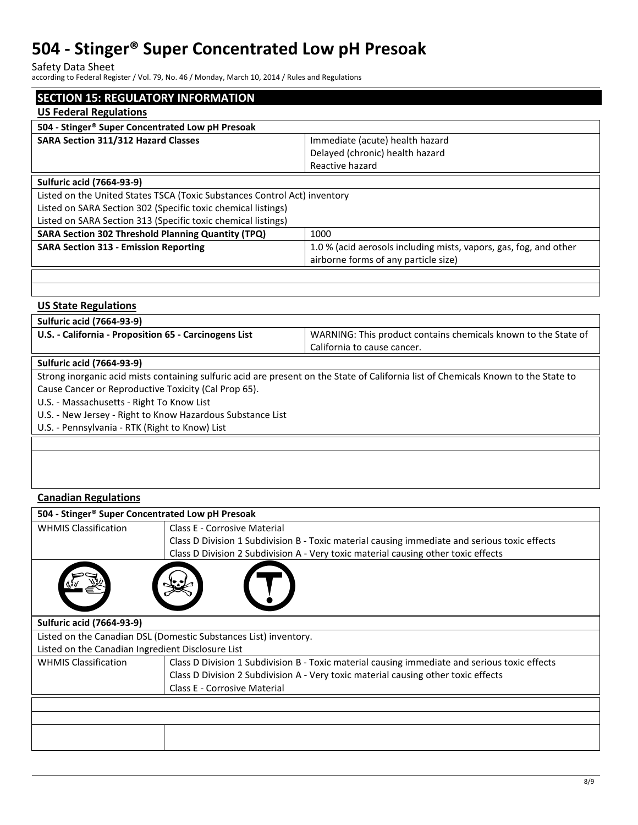Safety Data Sheet

according to Federal Register / Vol. 79, No. 46 / Monday, March 10, 2014 / Rules and Regulations

| <b>SECTION 15: REGULATORY INFORMATION</b>                                 |                                                                   |  |  |  |
|---------------------------------------------------------------------------|-------------------------------------------------------------------|--|--|--|
| <b>US Federal Regulations</b>                                             |                                                                   |  |  |  |
| 504 - Stinger® Super Concentrated Low pH Presoak                          |                                                                   |  |  |  |
| <b>SARA Section 311/312 Hazard Classes</b>                                | Immediate (acute) health hazard                                   |  |  |  |
|                                                                           | Delayed (chronic) health hazard                                   |  |  |  |
|                                                                           | Reactive hazard                                                   |  |  |  |
| <b>Sulfuric acid (7664-93-9)</b>                                          |                                                                   |  |  |  |
| Listed on the United States TSCA (Toxic Substances Control Act) inventory |                                                                   |  |  |  |
| Listed on SARA Section 302 (Specific toxic chemical listings)             |                                                                   |  |  |  |
| Listed on SARA Section 313 (Specific toxic chemical listings)             |                                                                   |  |  |  |
| <b>SARA Section 302 Threshold Planning Quantity (TPQ)</b><br>1000         |                                                                   |  |  |  |
| <b>SARA Section 313 - Emission Reporting</b>                              | 1.0 % (acid aerosols including mists, vapors, gas, fog, and other |  |  |  |
|                                                                           | airborne forms of any particle size)                              |  |  |  |
|                                                                           |                                                                   |  |  |  |

| <b>US State Regulations</b>                                |                                                                                                                                     |  |  |  |
|------------------------------------------------------------|-------------------------------------------------------------------------------------------------------------------------------------|--|--|--|
| <b>Sulfuric acid (7664-93-9)</b>                           |                                                                                                                                     |  |  |  |
| U.S. - California - Proposition 65 - Carcinogens List      | WARNING: This product contains chemicals known to the State of                                                                      |  |  |  |
|                                                            | California to cause cancer.                                                                                                         |  |  |  |
| <b>Sulfuric acid (7664-93-9)</b>                           |                                                                                                                                     |  |  |  |
|                                                            | Strong inorganic acid mists containing sulfuric acid are present on the State of California list of Chemicals Known to the State to |  |  |  |
| Cause Cancer or Reproductive Toxicity (Cal Prop 65).       |                                                                                                                                     |  |  |  |
| U.S. - Massachusetts - Right To Know List                  |                                                                                                                                     |  |  |  |
| U.S. - New Jersey - Right to Know Hazardous Substance List |                                                                                                                                     |  |  |  |
| U.S. - Pennsylvania - RTK (Right to Know) List             |                                                                                                                                     |  |  |  |
|                                                            |                                                                                                                                     |  |  |  |
|                                                            |                                                                                                                                     |  |  |  |
|                                                            |                                                                                                                                     |  |  |  |

## **Canadian Regulations**

| 504 - Stinger® Super Concentrated Low pH Presoak                 |                                                                                               |  |
|------------------------------------------------------------------|-----------------------------------------------------------------------------------------------|--|
| <b>WHMIS Classification</b>                                      | Class E - Corrosive Material                                                                  |  |
|                                                                  | Class D Division 1 Subdivision B - Toxic material causing immediate and serious toxic effects |  |
|                                                                  | Class D Division 2 Subdivision A - Very toxic material causing other toxic effects            |  |
|                                                                  |                                                                                               |  |
| <b>Sulfuric acid (7664-93-9)</b>                                 |                                                                                               |  |
| Listed on the Canadian DSL (Domestic Substances List) inventory. |                                                                                               |  |
| Listed on the Canadian Ingredient Disclosure List                |                                                                                               |  |
| <b>WHMIS Classification</b>                                      | Class D Division 1 Subdivision B - Toxic material causing immediate and serious toxic effects |  |
|                                                                  | Class D Division 2 Subdivision A - Very toxic material causing other toxic effects            |  |
|                                                                  | <b>Class E - Corrosive Material</b>                                                           |  |
|                                                                  |                                                                                               |  |
|                                                                  |                                                                                               |  |
|                                                                  |                                                                                               |  |
|                                                                  |                                                                                               |  |